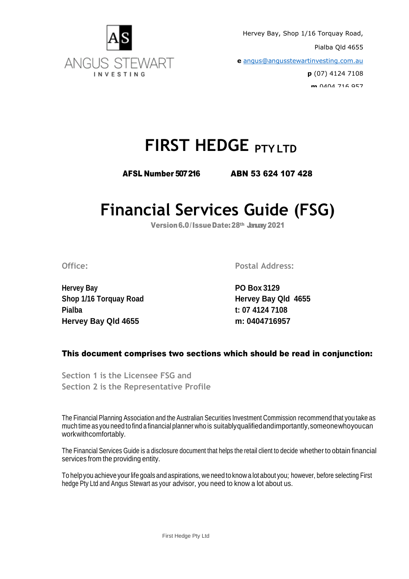

# **FIRST HEDGE PTY LTD**

AFSL Number 507 216 ABN 53 624 107 428

# **Financial Services Guide (FSG)**

Version 6.0/Issue Date: 28th January 2021

**Office: Postal Address:**

**Hervey Bay PO Box 3129 Shop 1/16 Torquay Road Hervey Bay Qld** 4655 **Pialba t: 07 4124 7108 Hervey Bay Qld 4655 m: 0404716957**

## This document comprises two sections which should be read in conjunction:

**Section 1 is the Licensee FSG and Section 2 is the Representative Profile**

The Financial Planning Association and the Australian Securities Investment Commission recommend that you take as much time as you need to find a financial planner who is suitablyqualifiedandimportantly,someonewhoyoucan workwithcomfortably.

The Financial Services Guide is a disclosure document that helps the retail client to decide whether to obtain financial services from the providing entity.

To help you achieve your life goals and aspirations, we need to know a lot about you; however, before selecting First hedge Pty Ltd and Angus Stewart as your advisor, you need to know a lot about us.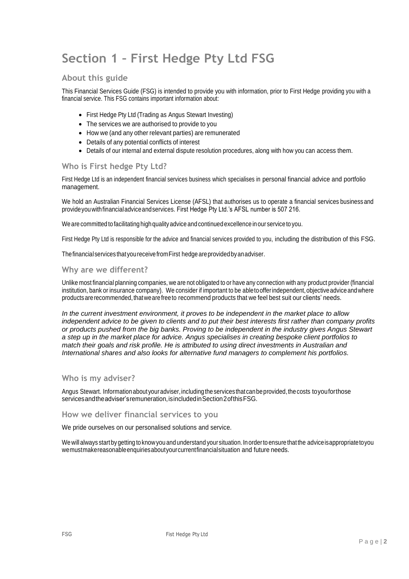## **Section 1 – First Hedge Pty Ltd FSG**

## **About this guide**

This Financial Services Guide (FSG) is intended to provide you with information, prior to First Hedge providing you with a financial service. This FSG contains important information about:

- First Hedge Pty Ltd (Trading as Angus Stewart Investing)
- The services we are authorised to provide to you
- How we (and any other relevant parties) are remunerated
- Details of any potential conflicts of interest
- Details of our internal and external dispute resolution procedures, along with how you can access them.

## **Who is First hedge Pty Ltd?**

First Hedge Ltd is an independent financial services business which specialises in personal financial advice and portfolio management.

We hold an Australian Financial Services License (AFSL) that authorises us to operate a financial services businessand provideyouwithfinancialadviceandservices. First Hedge Pty Ltd.'s AFSL number is 507 216.

We are committed to facilitating high quality advice and continued excellence in our service to you.

First Hedge Pty Ltd is responsible for the advice and financial services provided to you, including the distribution of this FSG.

Thefinancialservices thatyoureceivefromFirst hedge areprovidedbyanadviser.

### **Why are we different?**

Unlike most financial planning companies, we are not obligated to or have any connection with any product provider (financial institution, bank or insurance company). We consider if important to be ableto offer independent, objective advice and where productsarerecommended,thatwearefreeto recommend products that we feel best suit our clients' needs.

*In the current investment environment, it proves to be independent in the market place to allow independent advice to be given to clients and to put their best interests first rather than company profits or products pushed from the big banks. Proving to be independent in the industry gives Angus Stewart a step up in the market place for advice. Angus specialises in creating bespoke client portfolios to match their goals and risk profile. He is attributed to using direct investments in Australian and International shares and also looks for alternative fund managers to complement his portfolios.* 

### **Who is my adviser?**

Angus Stewart. Information about your adviser, including the services that can be provided, the costs to youfor those services and the adviser's remuneration, is included in Section 2 of this FSG.

#### **How we deliver financial services to you**

We pride ourselves on our personalised solutions and service.

We willalways startbygetting to knowyou andunderstand your situation. Inorderto ensure that the adviceisappropriatetoyou wemustmakereasonableenquiriesaboutyourcurrentfinancialsituation and future needs.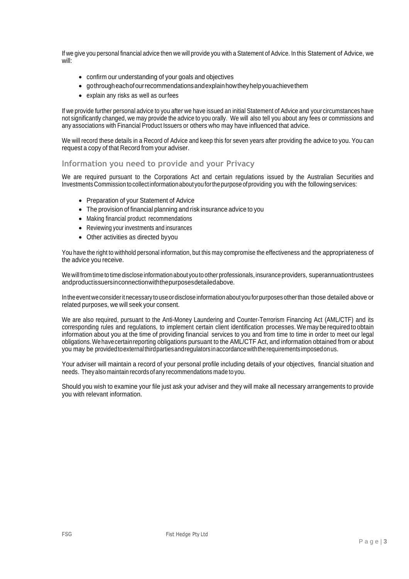If we give you personal financial advice then we will provide you with a Statement of Advice. In this Statement of Advice, we will:

- confirm our understanding of your goals and objectives
- gothrougheachofourrecommendationsandexplainhowtheyhelpyouachievethem
- explain any risks as well as ourfees

If we provide further personal advice to you after we have issued an initial Statement of Advice and your circumstances have not significantly changed, we may provide the advice to you orally. We will also tell you about any fees or commissions and any associations with Financial Product Issuers or others who may have influenced that advice.

We will record these details in a Record of Advice and keep this for seven years after providing the advice to you. You can request a copy of that Record from your adviser.

### **Information you need to provide and your Privacy**

We are required pursuant to the Corporations Act and certain regulations issued by the Australian Securities and InvestmentsCommission tocollectinformationabout youforthepurposeofproviding you with the followingservices:

- Preparation of your Statement of Advice
- The provision of financial planning and risk insurance advice to you
- Making financial product recommendations
- Reviewing your investments and insurances
- Other activities as directed byyou

You have the right to withhold personal information, but this may compromise the effectiveness and the appropriateness of the advice you receive.

We willfrom time to time disclose information about youto other professionals, insurance providers, superannuationtrustees andproductissuersinconnectionwiththepurposesdetailedabove.

Intheeventweconsideritnecessary touseordisclose information about you forpurposesotherthan those detailed above or related purposes, we will seek your consent.

We are also required, pursuant to the Anti-Money Laundering and Counter-Terrorism Financing Act (AML/CTF) and its corresponding rules and regulations, to implement certain client identification processes. We may be required to obtain information about you at the time of providing financial services to you and from time to time in order to meet our legal obligations.Wehavecertainreporting obligations pursuant to the AML/CTF Act, and information obtained from or about you may be providedtoexternalthirdpartiesandregulatorsinaccordancewiththerequirementsimposedonus.

Your adviser will maintain a record of your personal profile including details of your objectives, financial situation and needs. They also maintain records ofany recommendations made to you.

Should you wish to examine your file just ask your adviser and they will make all necessary arrangements to provide you with relevant information.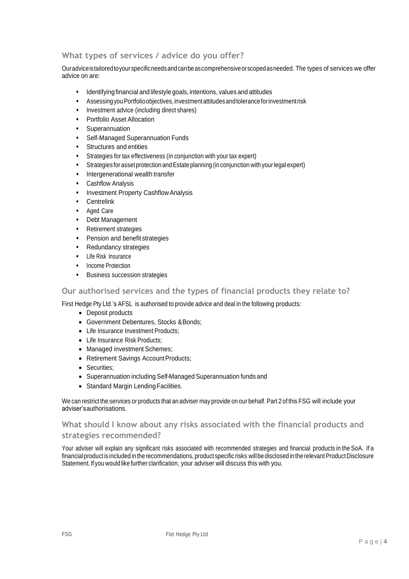## **What types of services / advice do you offer?**

Ouradviceistailoredtoyourspecificneedsandcanbeascomprehensiveorscopedasneeded. The types of services we offer advice on are:

- Identifying financial and lifestyle goals, intentions, values and attitudes
- Assessing you Portfolio objectives, investment attitudes and tolerance for investment risk
- Investment advice (including direct shares)
- Portfolio Asset Allocation
- Superannuation
- Self-Managed Superannuation Funds
- Structures and entities
- Strategies for tax effectiveness (in conjunction with your tax expert)
- Strategies for asset protection and Estate planning (in conjunction with your legal expert)
- Intergenerational wealth transfer
- Cashflow Analysis
- Investment Property Cashflow Analysis
- **Centrelink**
- Aged Care
- Debt Management
- Retirement strategies
- Pension and benefit strategies
- Redundancy strategies
- Life Risk Insurance
- Income Protection
- Business succession strategies

## **Our authorised services and the types of financial products they relate to?**

First Hedge Pty Ltd.'s AFSL is authorised to provide advice and deal in the following products:

- Deposit products
- Government Debentures, Stocks &Bonds;
- Life Insurance Investment Products;
- Life Insurance Risk Products:
- Managed investment Schemes;
- Retirement Savings Account Products;
- Securities;
- Superannuation including Self-Managed Superannuation funds and
- Standard Margin Lending Facilities.

We can restrict the services or products that an adviser may provide on our behalf. Part 2 of this FSG will include your adviser'sauthorisations.

## **What should I know about any risks associated with the financial products and strategies recommended?**

Your adviser will explain any significant risks associated with recommended strategies and financial products in the SoA. If a financial product is included in the recommendations, product specific risks will be disclosed in the relevant Product Disclosure Statement. If you would like further clarification, your adviser will discuss this with you.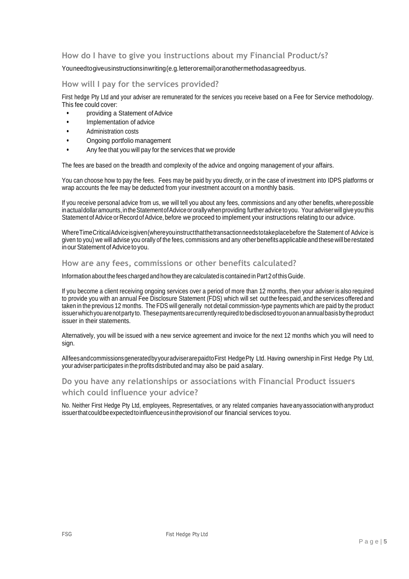## **How do I have to give you instructions about my Financial Product/s?**

Youneedtogiveusinstructionsinwriting(e.g.letteroremail)oranothermethodasagreedbyus.

#### **How will I pay for the services provided?**

First hedge Pty Ltd and your adviser are remunerated for the services you receive based on a Fee for Service methodology. This fee could cover:

- providing a Statement of Advice
- Implementation of advice
- Administration costs
- Ongoing portfolio management
- Any fee that you will pay for the services that we provide

The fees are based on the breadth and complexity of the advice and ongoing management of your affairs.

You can choose how to pay the fees. Fees may be paid by you directly, or in the case of investment into IDPS platforms or wrap accounts the fee may be deducted from your investment account on a monthly basis.

If you receive personal advice from us, we will tell you about any fees, commissions and any other benefits,wherepossible in actual dollar amounts, in the Statement of Advice or orally when providing further advice to you. Your adviser will give you this Statement of Advice or Record of Advice, before we proceed to implement your instructions relating to our advice.

WhereTimeCriticalAdviceisgiven(whereyouinstructthatthetransactionneedstotakeplacebefore the Statement of Advice is given to you) we will advise you orally of the fees, commissions and any otherbenefitsapplicableandthesewillberestated in our Statement of Advice to you.

### **How are any fees, commissions or other benefits calculated?**

Information about the fees charged and how they are calculated is contained in Part 2 of this Guide.

If you become a client receiving ongoing services over a period of more than 12 months, then your adviser is also required to provide you with an annual Fee Disclosure Statement (FDS) which will set out the feespaid, and the services offered and taken in the previous 12 months. The FDS will generally not detail commission-type payments which are paid by the product issuerwhichyouarenotparty to. Thesepaymentsarecurrentlyrequiredtobedisclosed toyouonanannualbasisbytheproduct issuer in their statements.

Alternatively, you will be issued with a new service agreement and invoice for the next 12 months which you will need to sign.

AllfeesandcommissionsgeneratedbyyouradviserarepaidtoFirst HedgePty Ltd. Having ownership in First Hedge Pty Ltd, your adviser participates in the profits distributed and may also be paid asalary.

## **Do you have any relationships or associations with Financial Product issuers which could influence your advice?**

No. Neither First Hedge Pty Ltd, employees, Representatives, or any related companies have any association with any product issuerthatcouldbeexpectedtoinfluenceusintheprovisionof our financial services toyou.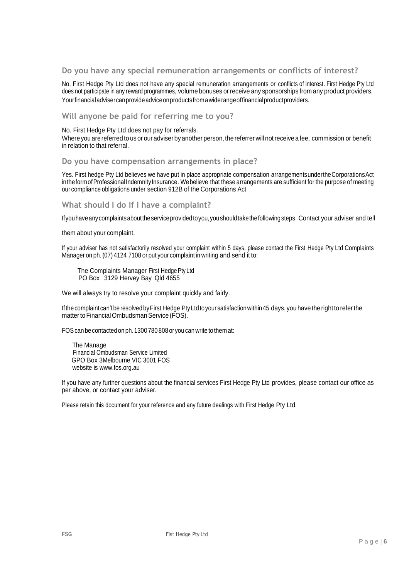### **Do you have any special remuneration arrangements or conflicts of interest?**

No. First Hedge Pty Ltd does not have any special remuneration arrangements or conflicts of interest. First Hedge Pty Ltd does not participate in any reward programmes, volume bonuses or receive any sponsorships from any product providers. Yourfinancialadvisercanprovideadviceonproductsfromawiderangeoffinancialproductproviders.

## **Will anyone be paid for referring me to you?**

No. First Hedge Pty Ltd does not pay for referrals.

Where you are referred to us or our adviser by another person, the referrer will not receive a fee, commission or benefit in relation to that referral.

## **Do you have compensation arrangements in place?**

Yes. First hedge Pty Ltd believes we have put in place appropriate compensation arrangementsundertheCorporationsAct in the form of Professional Indemnity Insurance. We believe that these arrangements are sufficient for the purpose of meeting our compliance obligations under section 912B of the Corporations Act

### **What should I do if I have a complaint?**

Ifyouhaveanycomplaintsabouttheserviceprovidedtoyou,youshouldtakethefollowingsteps. Contact your adviser and tell

them about your complaint.

If your adviser has not satisfactorily resolved your complaint within 5 days, please contact the First Hedge Pty Ltd Complaints Manager on ph. (07) 4124 7108 or put your complaint in writing and send it to:

The Complaints Manager First Hedge Pty Ltd PO Box 3129 Hervey Bay Qld 4655

We will always try to resolve your complaint quickly and fairly.

If the complaint can't be resolved by First Hedge Pty Ltd to your satisfaction within 45 days, you have the right to refer the matter to Financial Ombudsman Service (FOS).

FOScan becontacted on ph.1300780 808 or youcan write to them at:

 The Manage Financial Ombudsman Service Limited GPO Box 3Melbourne VIC 3001 FOS website is [www.fos.org.au](http://www.fos.org.au/)

If you have any further questions about the financial services First Hedge Pty Ltd provides, please contact our office as per above, or contact your adviser.

Please retain this document for your reference and any future dealings with First Hedge Pty Ltd.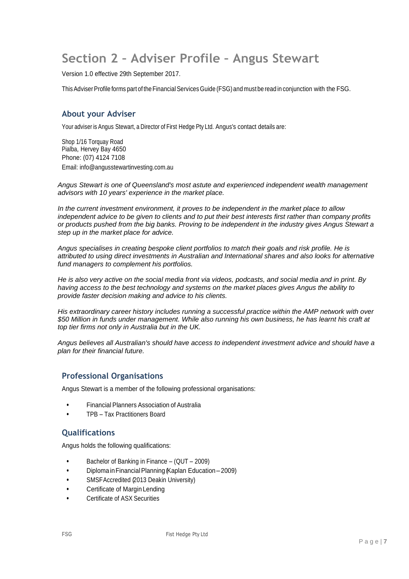## **Section 2 – Adviser Profile – Angus Stewart**

Version 1.0 effective 29th September 2017.

This Adviser Profile forms part of the Financial Services Guide (FSG) and must be read in conjunction with the FSG.

## **About your Adviser**

Your adviser is Angus Stewart, a Director of First Hedge Pty Ltd. Angus's contact details are:

Shop 1/16 Torquay Road Pialba, Hervey Bay 4650 Phone: (07) 4124 7108 Email: [info@angusstewartinvesting.com.au](mailto:jayne@archfp.com.au)

*Angus Stewart is one of Queensland's most astute and experienced independent wealth management advisors with 10 years' experience in the market place.*

*In the current investment environment, it proves to be independent in the market place to allow independent advice to be given to clients and to put their best interests first rather than company profits or products pushed from the big banks. Proving to be independent in the industry gives Angus Stewart a step up in the market place for advice.*

*Angus specialises in creating bespoke client portfolios to match their goals and risk profile. He is attributed to using direct investments in Australian and International shares and also looks for alternative fund managers to complement his portfolios.*

*He is also very active on the social media front via videos, podcasts, and social media and in print. By having access to the best technology and systems on the market places gives Angus the ability to provide faster decision making and advice to his clients.*

*His extraordinary career history includes running a successful practice within the AMP network with over \$50 Million in funds under management. While also running his own business, he has learnt his craft at top tier firms not only in Australia but in the UK.*

*Angus believes all Australian's should have access to independent investment advice and should have a plan for their financial future.*

## **Professional Organisations**

Angus Stewart is a member of the following professional organisations:

- Financial Planners Association of Australia
- TPB Tax Practitioners Board

## **Qualifications**

Angus holds the following qualifications:

- Bachelor of Banking in Finance (QUT 2009)
- DiplomainFinancialPlanning (Kaplan Education –2009)
- SMSF Accredited (2013 Deakin University)
- Certificate of Margin Lending
- Certificate of ASX Securities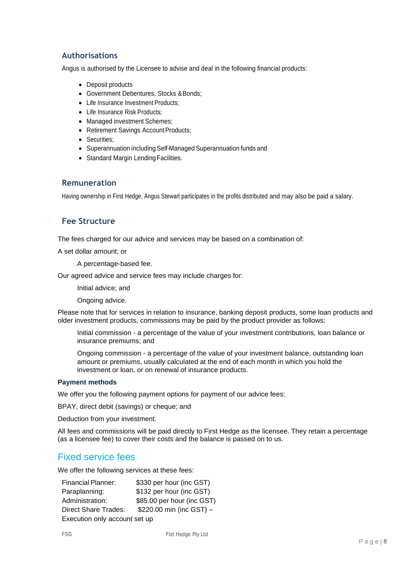## **Authorisations**

Angus is authorised by the Licensee to advise and deal in the following financial products:

- Deposit products
- Government Debentures, Stocks &Bonds;
- Life Insurance Investment Products:
- Life Insurance Risk Products;
- Managed investment Schemes;
- Retirement Savings Account Products;
- Securities;
- Superannuation including Self-Managed Superannuation funds and
- Standard Margin Lending Facilities.

## **Remuneration**

Having ownership in First Hedge, Angus Stewart participates in the profits distributed and may also be paid a salary.

## **Fee Structure**

The fees charged for our advice and services may be based on a combination of:

A set dollar amount; or

A percentage-based fee.

Our agreed advice and service fees may include charges for:

Initial advice; and

Ongoing advice.

Please note that for services in relation to insurance, banking deposit products, some loan products and older investment products, commissions may be paid by the product provider as follows:

Initial commission - a percentage of the value of your investment contributions, loan balance or insurance premiums; and

Ongoing commission - a percentage of the value of your investment balance, outstanding loan amount or premiums, usually calculated at the end of each month in which you hold the investment or loan, or on renewal of insurance products.

### **Payment methods**

We offer you the following payment options for payment of our advice fees:

BPAY, direct debit (savings) or cheque; and

Deduction from your investment.

All fees and commissions will be paid directly to First Hedge as the licensee. They retain a percentage (as a licensee fee) to cover their costs and the balance is passed on to us.

## Fixed service fees

We offer the following services at these fees:

| <b>Financial Planner:</b>     | \$330 per hour (inc GST)   |  |  |  |
|-------------------------------|----------------------------|--|--|--|
| Paraplanning:                 | \$132 per hour (inc GST)   |  |  |  |
| Administration:               | \$85.00 per hour (inc GST) |  |  |  |
| <b>Direct Share Trades:</b>   | \$220.00 min (inc GST) -   |  |  |  |
| Execution only account set up |                            |  |  |  |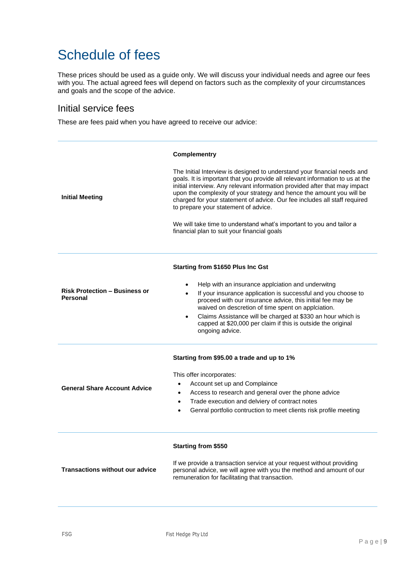## Schedule of fees

These prices should be used as a guide only. We will discuss your individual needs and agree our fees with you. The actual agreed fees will depend on factors such as the complexity of your circumstances and goals and the scope of the advice.

## Initial service fees

These are fees paid when you have agreed to receive our advice:

| <b>Initial Meeting</b>                           | <b>Complementry</b><br>The Initial Interview is designed to understand your financial needs and<br>goals. It is important that you provide all relevant information to us at the<br>initial interview. Any relevant information provided after that may impact<br>upon the complexity of your strategy and hence the amount you will be<br>charged for your statement of advice. Our fee includes all staff required<br>to prepare your statement of advice.<br>We will take time to understand what's important to you and tailor a<br>financial plan to suit your financial goals |  |  |
|--------------------------------------------------|-------------------------------------------------------------------------------------------------------------------------------------------------------------------------------------------------------------------------------------------------------------------------------------------------------------------------------------------------------------------------------------------------------------------------------------------------------------------------------------------------------------------------------------------------------------------------------------|--|--|
| <b>Risk Protection - Business or</b><br>Personal | <b>Starting from \$1650 Plus Inc Gst</b><br>Help with an insurance application and underwitng<br>$\bullet$<br>If your insurance application is successful and you choose to<br>$\bullet$<br>proceed with our insurance advice, this initial fee may be<br>waived on descretion of time spent on applciation.<br>Claims Assistance will be charged at \$330 an hour which is<br>capped at \$20,000 per claim if this is outside the original<br>ongoing advice.                                                                                                                      |  |  |
| <b>General Share Account Advice</b>              | Starting from \$95.00 a trade and up to 1%<br>This offer incorporates:<br>Account set up and Complaince<br>$\bullet$<br>Access to research and general over the phone advice<br>$\bullet$<br>Trade execution and delviery of contract notes<br>$\bullet$<br>Genral portfolio contruction to meet clients risk profile meeting<br>$\bullet$                                                                                                                                                                                                                                          |  |  |
| <b>Transactions without our advice</b>           | <b>Starting from \$550</b><br>If we provide a transaction service at your request without providing<br>personal advice, we will agree with you the method and amount of our<br>remuneration for facilitating that transaction.                                                                                                                                                                                                                                                                                                                                                      |  |  |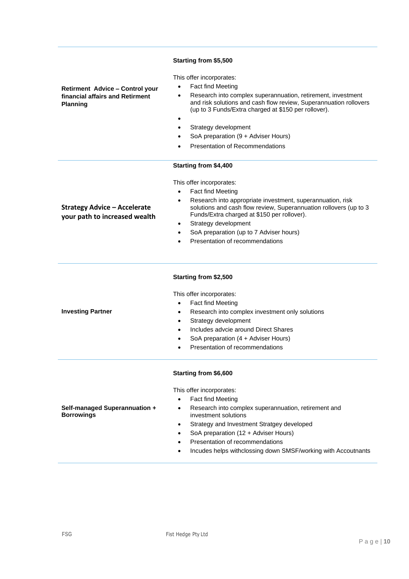#### **Starting from \$5,500**

This offer incorporates:

**Retirment Advice – Control your financial affairs and Retirment Planning**

**Strategy Advice – Accelerate your path to increased wealth**

**Investing Partner** 

- Fact find Meeting
- Research into complex superannuation, retirement, investment and risk solutions and cash flow review, Superannuation rollovers (up to 3 Funds/Extra charged at \$150 per rollover).
- Strategy development
- SoA preparation (9 + Adviser Hours)
- Presentation of Recommendations

#### **Starting from \$4,400**

This offer incorporates:

- Fact find Meeting
- Research into appropriate investment, superannuation, risk solutions and cash flow review, Superannuation rollovers (up to 3 Funds/Extra charged at \$150 per rollover).
- Strategy development
	- SoA preparation (up to 7 Adviser hours)
- Presentation of recommendations

#### **Starting from \$2,500**

This offer incorporates:

- Fact find Meeting
- Research into complex investment only solutions
- Strategy development
- Includes advcie around Direct Shares
- SoA preparation (4 + Adviser Hours)
- Presentation of recommendations

#### **Starting from \$6,600**

This offer incorporates:

• Fact find Meeting

investment solutions

**Self-managed Superannuation + Borrowings**

- Strategy and Investment Stratgey developed
- SoA preparation (12 + Adviser Hours)
- Presentation of recommendations
- Incudes helps withclossing down SMSF/working with Accoutnants

• Research into complex superannuation, retirement and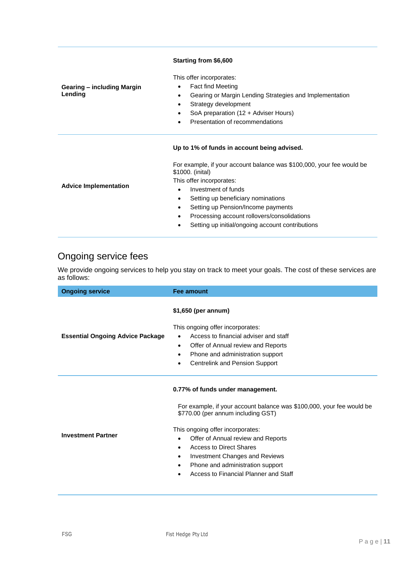|                                       | Starting from \$6,600                                                                                                                                                                                                                                                  |  |  |
|---------------------------------------|------------------------------------------------------------------------------------------------------------------------------------------------------------------------------------------------------------------------------------------------------------------------|--|--|
| Gearing – including Margin<br>Lending | This offer incorporates:<br><b>Fact find Meeting</b><br>$\bullet$<br>Gearing or Margin Lending Strategies and Implementation<br>$\bullet$<br>Strategy development<br>$\bullet$<br>SoA preparation (12 + Adviser Hours)<br>Presentation of recommendations<br>$\bullet$ |  |  |
|                                       | Up to 1% of funds in account being advised.                                                                                                                                                                                                                            |  |  |
| <b>Advice Implementation</b>          | For example, if your account balance was \$100,000, your fee would be<br>\$1000. (inital)                                                                                                                                                                              |  |  |
|                                       | This offer incorporates:                                                                                                                                                                                                                                               |  |  |
|                                       | Investment of funds<br>$\bullet$                                                                                                                                                                                                                                       |  |  |
|                                       | Setting up beneficiary nominations                                                                                                                                                                                                                                     |  |  |
|                                       | Setting up Pension/Income payments<br>$\bullet$                                                                                                                                                                                                                        |  |  |
|                                       | Processing account rollovers/consolidations<br>$\bullet$                                                                                                                                                                                                               |  |  |
|                                       | Setting up initial/ongoing account contributions<br>٠                                                                                                                                                                                                                  |  |  |

## Ongoing service fees

We provide ongoing services to help you stay on track to meet your goals. The cost of these services are as follows:

| <b>Ongoing service</b>                  | Fee amount                                                                                                                                                                                                                                                                                                                                                                                         |  |  |
|-----------------------------------------|----------------------------------------------------------------------------------------------------------------------------------------------------------------------------------------------------------------------------------------------------------------------------------------------------------------------------------------------------------------------------------------------------|--|--|
| <b>Essential Ongoing Advice Package</b> | \$1,650 (per annum)<br>This ongoing offer incorporates:<br>Access to financial adviser and staff<br>Offer of Annual review and Reports<br>$\bullet$<br>Phone and administration support<br>$\bullet$<br>Centrelink and Pension Support<br>$\bullet$                                                                                                                                                |  |  |
| <b>Investment Partner</b>               | 0.77% of funds under management.<br>For example, if your account balance was \$100,000, your fee would be<br>\$770.00 (per annum including GST)<br>This ongoing offer incorporates:<br>Offer of Annual review and Reports<br>Access to Direct Shares<br>$\bullet$<br>Investment Changes and Reviews<br>$\bullet$<br>Phone and administration support<br>٠<br>Access to Financial Planner and Staff |  |  |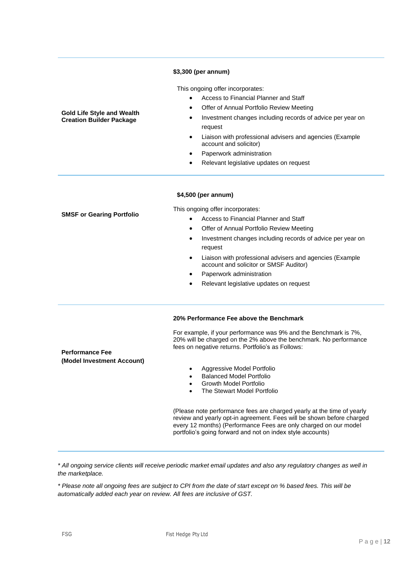#### **\$3,300 (per annum)**

This ongoing offer incorporates:

- Access to Financial Planner and Staff
- Offer of Annual Portfolio Review Meeting
- Investment changes including records of advice per year on request
- Liaison with professional advisers and agencies (Example account and solicitor)
- Paperwork administration
- Relevant legislative updates on request

#### **\$4,500 (per annum)**

This ongoing offer incorporates:

- Access to Financial Planner and Staff
- Offer of Annual Portfolio Review Meeting
- Investment changes including records of advice per year on request
- Liaison with professional advisers and agencies (Example account and solicitor or SMSF Auditor)
- Paperwork administration
- Relevant legislative updates on request

#### **20% Performance Fee above the Benchmark**

For example, if your performance was 9% and the Benchmark is 7%, 20% will be charged on the 2% above the benchmark. No performance fees on negative returns. Portfolio's as Follows:

**Performance Fee (Model Investment Account)**

- Aggressive Model Portfolio
- Balanced Model Portfolio
- Growth Model Portfolio
- The Stewart Model Portfolio

(Please note performance fees are charged yearly at the time of yearly review and yearly opt-in agreement. Fees will be shown before charged every 12 months) (Performance Fees are only charged on our model portfolio's going forward and not on index style accounts)

*\* All ongoing service clients will receive periodic market email updates and also any regulatory changes as well in the marketplace.*

*\* Please note all ongoing fees are subject to CPI from the date of start except on % based fees. This will be automatically added each year on review. All fees are inclusive of GST.*

**SMSF or Gearing Portfolio**

**Gold Life Style and Wealth Creation Builder Package**